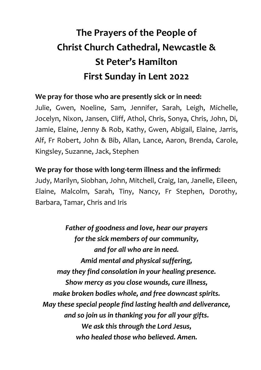## **The Prayers of the People of Christ Church Cathedral, Newcastle & St Peter's Hamilton First Sunday in Lent 2022**

## **We pray for those who are presently sick or in need:**

Julie, Gwen, Noeline, Sam, Jennifer, Sarah, Leigh, Michelle, Jocelyn, Nixon, Jansen, Cliff, Athol, Chris, Sonya, Chris, John, Di, Jamie, Elaine, Jenny & Rob, Kathy, Gwen, Abigail, Elaine, Jarris, Alf, Fr Robert, John & Bib, Allan, Lance, Aaron, Brenda, Carole, Kingsley, Suzanne, Jack, Stephen

## **We pray for those with long-term illness and the infirmed:**

Judy, Marilyn, Siobhan, John, Mitchell, Craig, Ian, Janelle, Eileen, Elaine, Malcolm, Sarah, Tiny, Nancy, Fr Stephen, Dorothy, Barbara, Tamar, Chris and Iris

*Father of goodness and love, hear our prayers for the sick members of our community, and for all who are in need. Amid mental and physical suffering, may they find consolation in your healing presence. Show mercy as you close wounds, cure illness, make broken bodies whole, and free downcast spirits. May these special people find lasting health and deliverance, and so join us in thanking you for all your gifts. We ask this through the Lord Jesus, who healed those who believed. Amen.*